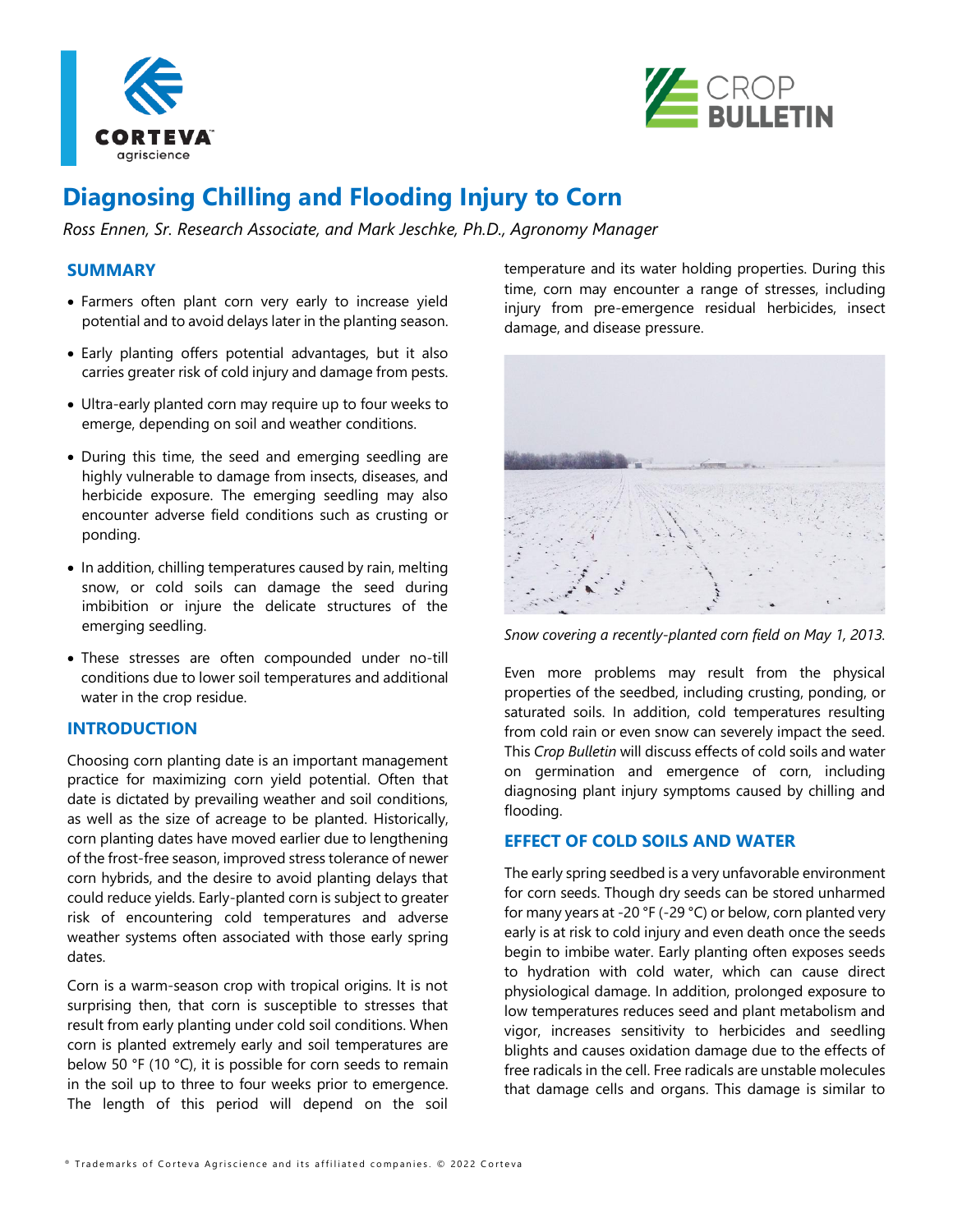



# **Diagnosing Chilling and Flooding Injury to Corn**

*Ross Ennen, Sr. Research Associate, and Mark Jeschke, Ph.D., Agronomy Manager*

# **SUMMARY**

- Farmers often plant corn very early to increase yield potential and to avoid delays later in the planting season.
- Early planting offers potential advantages, but it also carries greater risk of cold injury and damage from pests.
- Ultra-early planted corn may require up to four weeks to emerge, depending on soil and weather conditions.
- During this time, the seed and emerging seedling are highly vulnerable to damage from insects, diseases, and herbicide exposure. The emerging seedling may also encounter adverse field conditions such as crusting or ponding.
- In addition, chilling temperatures caused by rain, melting snow, or cold soils can damage the seed during imbibition or injure the delicate structures of the emerging seedling.
- These stresses are often compounded under no-till conditions due to lower soil temperatures and additional water in the crop residue.

### **INTRODUCTION**

Choosing corn planting date is an important management practice for maximizing corn yield potential. Often that date is dictated by prevailing weather and soil conditions, as well as the size of acreage to be planted. Historically, corn planting dates have moved earlier due to lengthening of the frost-free season, improved stress tolerance of newer corn hybrids, and the desire to avoid planting delays that could reduce yields. Early-planted corn is subject to greater risk of encountering cold temperatures and adverse weather systems often associated with those early spring dates.

Corn is a warm-season crop with tropical origins. It is not surprising then, that corn is susceptible to stresses that result from early planting under cold soil conditions. When corn is planted extremely early and soil temperatures are below 50 °F (10 °C), it is possible for corn seeds to remain in the soil up to three to four weeks prior to emergence. The length of this period will depend on the soil

temperature and its water holding properties. During this time, corn may encounter a range of stresses, including injury from pre-emergence residual herbicides, insect damage, and disease pressure.



*Snow covering a recently-planted corn field on May 1, 2013.* 

Even more problems may result from the physical properties of the seedbed, including crusting, ponding, or saturated soils. In addition, cold temperatures resulting from cold rain or even snow can severely impact the seed. This *Crop Bulletin* will discuss effects of cold soils and water on germination and emergence of corn, including diagnosing plant injury symptoms caused by chilling and flooding.

# **EFFECT OF COLD SOILS AND WATER**

The early spring seedbed is a very unfavorable environment for corn seeds. Though dry seeds can be stored unharmed for many years at -20 °F (-29 °C) or below, corn planted very early is at risk to cold injury and even death once the seeds begin to imbibe water. Early planting often exposes seeds to hydration with cold water, which can cause direct physiological damage. In addition, prolonged exposure to low temperatures reduces seed and plant metabolism and vigor, increases sensitivity to herbicides and seedling blights and causes oxidation damage due to the effects of free radicals in the cell. Free radicals are unstable molecules that damage cells and organs. This damage is similar to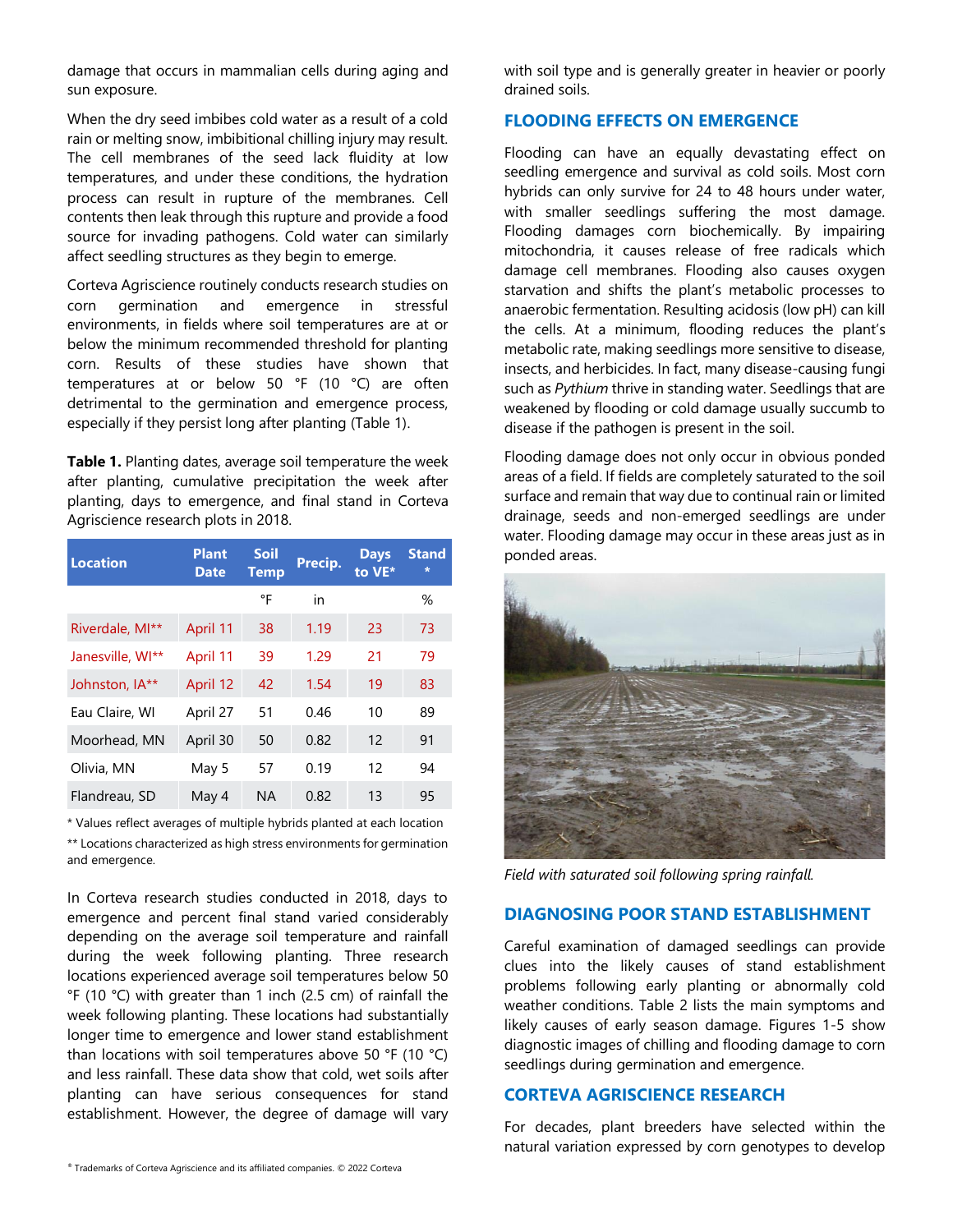damage that occurs in mammalian cells during aging and sun exposure.

When the dry seed imbibes cold water as a result of a cold rain or melting snow, imbibitional chilling injury may result. The cell membranes of the seed lack fluidity at low temperatures, and under these conditions, the hydration process can result in rupture of the membranes. Cell contents then leak through this rupture and provide a food source for invading pathogens. Cold water can similarly affect seedling structures as they begin to emerge.

Corteva Agriscience routinely conducts research studies on corn germination and emergence in stressful environments, in fields where soil temperatures are at or below the minimum recommended threshold for planting corn. Results of these studies have shown that temperatures at or below 50 °F (10 °C) are often detrimental to the germination and emergence process, especially if they persist long after planting (Table 1).

**Table 1.** Planting dates, average soil temperature the week after planting, cumulative precipitation the week after planting, days to emergence, and final stand in Corteva Agriscience research plots in 2018.

| <b>Location</b>  | <b>Plant</b><br><b>Date</b> | <b>Soil</b><br><b>Temp</b> | Precip. | <b>Days</b><br>to VE* | <b>Stand</b><br>$\star$ |
|------------------|-----------------------------|----------------------------|---------|-----------------------|-------------------------|
|                  |                             | °F                         | in      |                       | %                       |
| Riverdale, MI**  | April 11                    | 38                         | 1.19    | 23                    | 73                      |
| Janesville, WI** | April 11                    | 39                         | 1.29    | 21                    | 79                      |
| Johnston, IA**   | April 12                    | 42                         | 1.54    | 19                    | 83                      |
| Eau Claire, WI   | April 27                    | 51                         | 0.46    | 10                    | 89                      |
| Moorhead, MN     | April 30                    | 50                         | 0.82    | 12                    | 91                      |
| Olivia, MN       | May 5                       | 57                         | 0.19    | 12                    | 94                      |
| Flandreau, SD    | May 4                       | <b>NA</b>                  | 0.82    | 13                    | 95                      |

\* Values reflect averages of multiple hybrids planted at each location

\*\* Locations characterized as high stress environments for germination and emergence.

In Corteva research studies conducted in 2018, days to emergence and percent final stand varied considerably depending on the average soil temperature and rainfall during the week following planting. Three research locations experienced average soil temperatures below 50 °F (10 °C) with greater than 1 inch (2.5 cm) of rainfall the week following planting. These locations had substantially longer time to emergence and lower stand establishment than locations with soil temperatures above 50 °F (10 °C) and less rainfall. These data show that cold, wet soils after planting can have serious consequences for stand establishment. However, the degree of damage will vary

with soil type and is generally greater in heavier or poorly drained soils.

# **FLOODING EFFECTS ON EMERGENCE**

Flooding can have an equally devastating effect on seedling emergence and survival as cold soils. Most corn hybrids can only survive for 24 to 48 hours under water, with smaller seedlings suffering the most damage. Flooding damages corn biochemically. By impairing mitochondria, it causes release of free radicals which damage cell membranes. Flooding also causes oxygen starvation and shifts the plant's metabolic processes to anaerobic fermentation. Resulting acidosis (low pH) can kill the cells. At a minimum, flooding reduces the plant's metabolic rate, making seedlings more sensitive to disease, insects, and herbicides. In fact, many disease-causing fungi such as *Pythium* thrive in standing water. Seedlings that are weakened by flooding or cold damage usually succumb to disease if the pathogen is present in the soil.

Flooding damage does not only occur in obvious ponded areas of a field. If fields are completely saturated to the soil surface and remain that way due to continual rain or limited drainage, seeds and non-emerged seedlings are under water. Flooding damage may occur in these areas just as in ponded areas.



*Field with saturated soil following spring rainfall.*

# **DIAGNOSING POOR STAND ESTABLISHMENT**

Careful examination of damaged seedlings can provide clues into the likely causes of stand establishment problems following early planting or abnormally cold weather conditions. Table 2 lists the main symptoms and likely causes of early season damage. Figures 1-5 show diagnostic images of chilling and flooding damage to corn seedlings during germination and emergence.

# **CORTEVA AGRISCIENCE RESEARCH**

For decades, plant breeders have selected within the natural variation expressed by corn genotypes to develop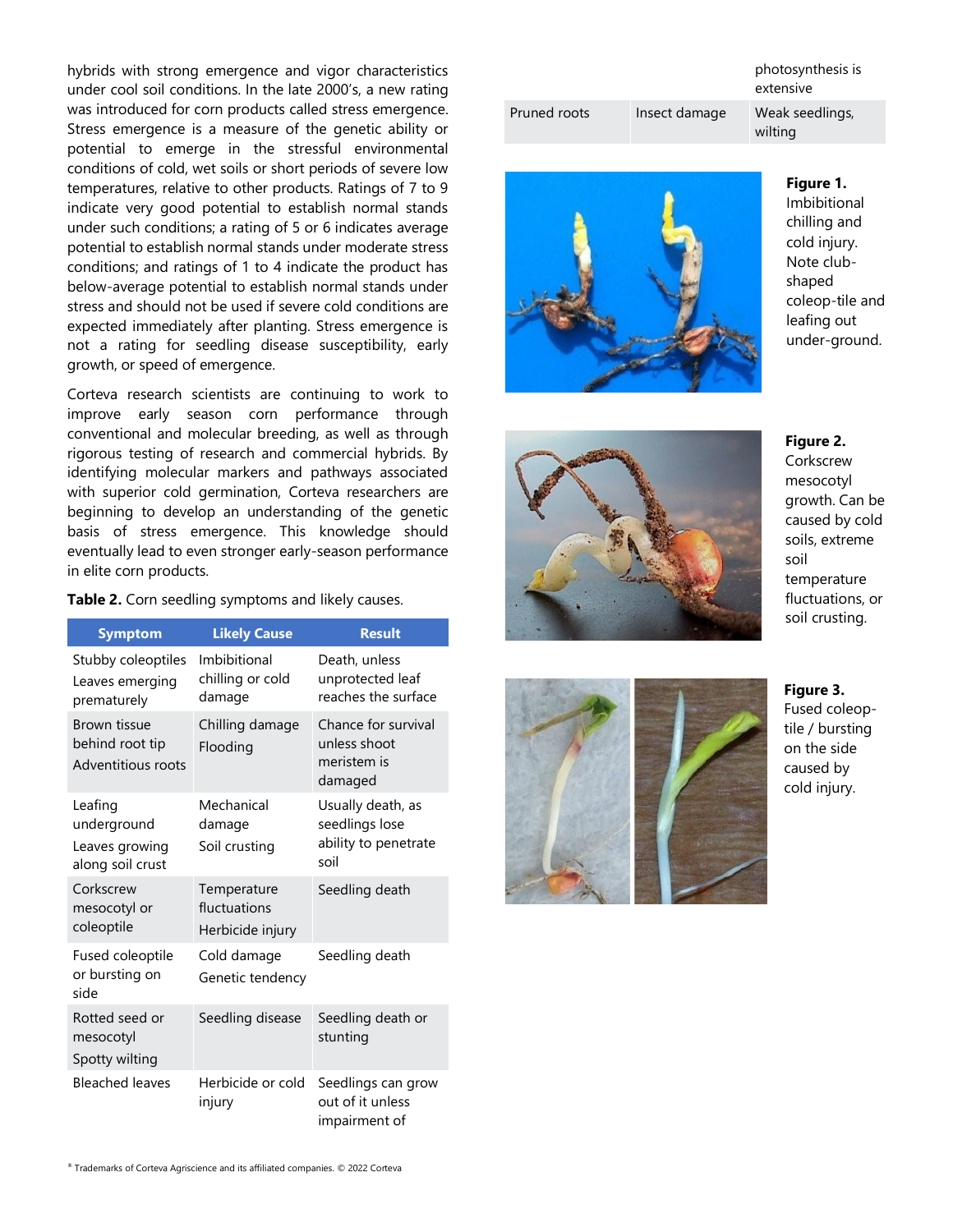hybrids with strong emergence and vigor characteristics under cool soil conditions. In the late 2000's, a new rating was introduced for corn products called stress emergence. Stress emergence is a measure of the genetic ability or potential to emerge in the stressful environmental conditions of cold, wet soils or short periods of severe low temperatures, relative to other products. Ratings of 7 to 9 indicate very good potential to establish normal stands under such conditions; a rating of 5 or 6 indicates average potential to establish normal stands under moderate stress conditions; and ratings of 1 to 4 indicate the product has below-average potential to establish normal stands under stress and should not be used if severe cold conditions are expected immediately after planting. Stress emergence is not a rating for seedling disease susceptibility, early growth, or speed of emergence.

Corteva research scientists are continuing to work to improve early season corn performance through conventional and molecular breeding, as well as through rigorous testing of research and commercial hybrids. By identifying molecular markers and pathways associated with superior cold germination, Corteva researchers are beginning to develop an understanding of the genetic basis of stress emergence. This knowledge should eventually lead to even stronger early-season performance in elite corn products.

| <b>Symptom</b>                                               | <b>Likely Cause</b>                             | <b>Result</b>                                                       |
|--------------------------------------------------------------|-------------------------------------------------|---------------------------------------------------------------------|
| Stubby coleoptiles<br>Leaves emerging<br>prematurely         | Imbibitional<br>chilling or cold<br>damage      | Death, unless<br>unprotected leaf<br>reaches the surface            |
| Brown tissue<br>behind root tip<br>Adventitious roots        | Chilling damage<br>Flooding                     | Chance for survival<br>unless shoot<br>meristem is<br>damaged       |
| Leafing<br>underground<br>Leaves growing<br>along soil crust | Mechanical<br>damage<br>Soil crusting           | Usually death, as<br>seedlings lose<br>ability to penetrate<br>soil |
| Corkscrew<br>mesocotyl or<br>coleoptile                      | Temperature<br>fluctuations<br>Herbicide injury | Seedling death                                                      |
| Fused coleoptile<br>or bursting on<br>side                   | Cold damage<br>Genetic tendency                 | Seedling death                                                      |
| Rotted seed or<br>mesocotyl<br>Spotty wilting                | Seedling disease                                | Seedling death or<br>stunting                                       |
| <b>Bleached leaves</b>                                       | Herbicide or cold<br>injury                     | Seedlings can grow<br>out of it unless<br>impairment of             |

**Table 2.** Corn seedling symptoms and likely causes.

|              |               | photosynthesis is<br>extensive |
|--------------|---------------|--------------------------------|
| Pruned roots | Insect damage | Weak seedlings,<br>wilting     |
|              |               |                                |



**Figure 1.** Imbibitional chilling and cold injury. Note clubshaped coleop-tile and leafing out under-ground.

### **Figure 2.**

**Corkscrew** mesocotyl growth. Can be caused by cold soils, extreme soil temperature fluctuations, or soil crusting.

# **Figure 3.** Fused coleoptile / bursting on the side caused by cold injury.

® Trademarks of Corteva Agriscience and its affiliated companies. © 2022 Corteva